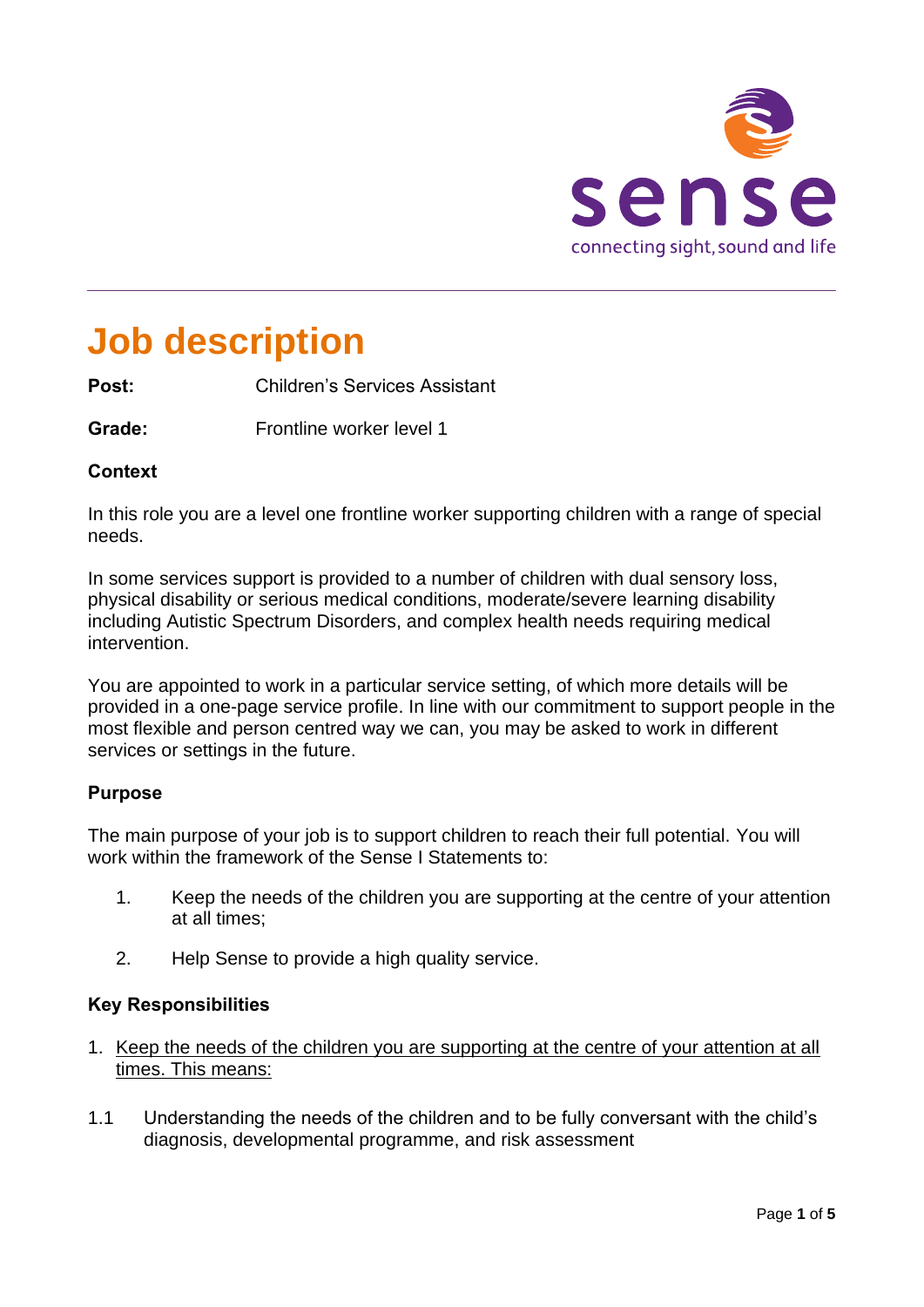

# **Job description**

**Post:** Children's Services Assistant

**Grade:** Frontline worker level 1

# **Context**

In this role you are a level one frontline worker supporting children with a range of special needs.

In some services support is provided to a number of children with dual sensory loss, physical disability or serious medical conditions, moderate/severe learning disability including Autistic Spectrum Disorders, and complex health needs requiring medical intervention.

You are appointed to work in a particular service setting, of which more details will be provided in a one-page service profile. In line with our commitment to support people in the most flexible and person centred way we can, you may be asked to work in different services or settings in the future.

# **Purpose**

The main purpose of your job is to support children to reach their full potential. You will work within the framework of the Sense I Statements to:

- 1. Keep the needs of the children you are supporting at the centre of your attention at all times;
- 2. Help Sense to provide a high quality service.

# **Key Responsibilities**

- 1. Keep the needs of the children you are supporting at the centre of your attention at all times. This means:
- 1.1 Understanding the needs of the children and to be fully conversant with the child's diagnosis, developmental programme, and risk assessment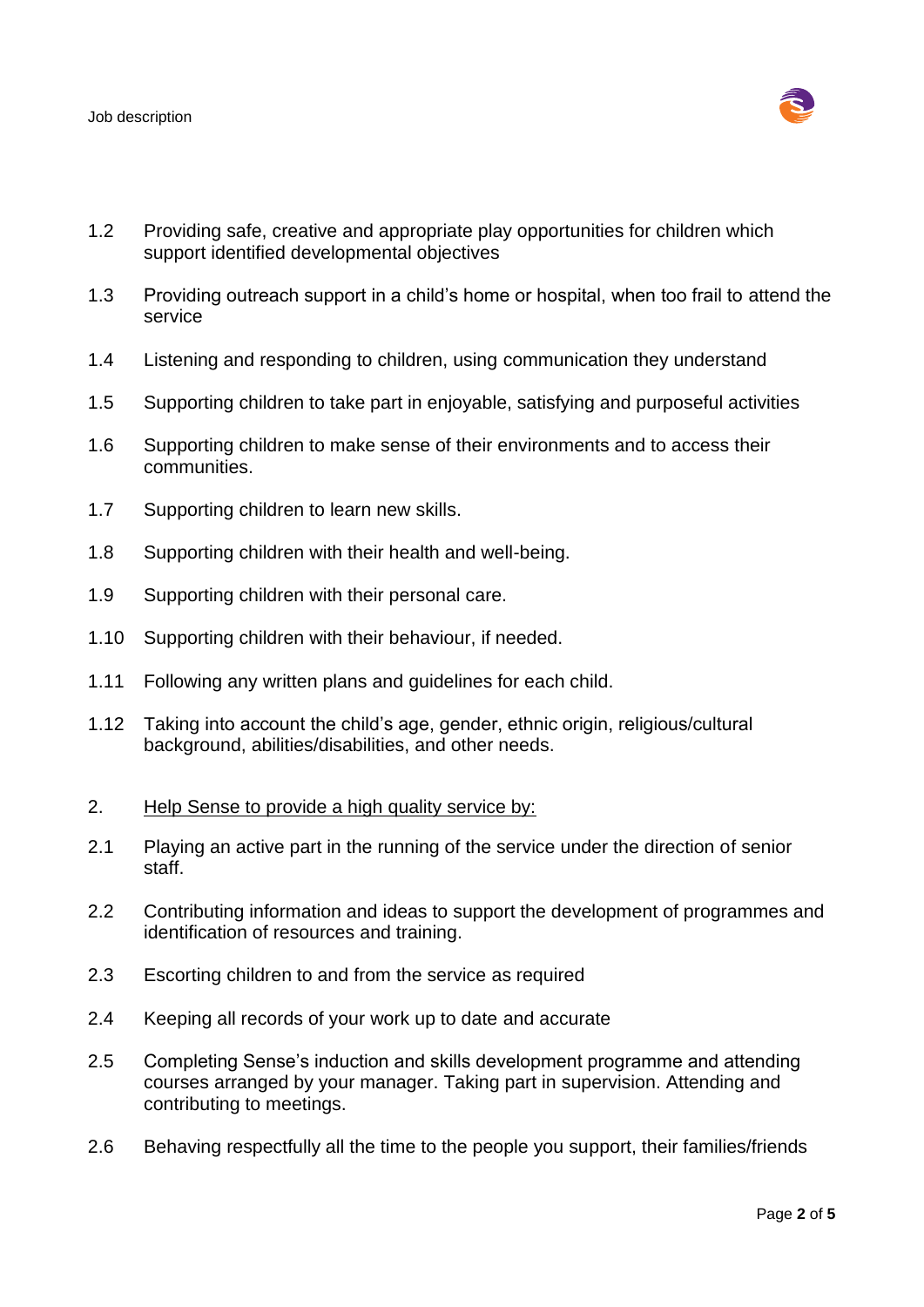

- 1.2 Providing safe, creative and appropriate play opportunities for children which support identified developmental objectives
- 1.3 Providing outreach support in a child's home or hospital, when too frail to attend the service
- 1.4 Listening and responding to children, using communication they understand
- 1.5 Supporting children to take part in enjoyable, satisfying and purposeful activities
- 1.6 Supporting children to make sense of their environments and to access their communities.
- 1.7 Supporting children to learn new skills.
- 1.8 Supporting children with their health and well-being.
- 1.9 Supporting children with their personal care.
- 1.10 Supporting children with their behaviour, if needed.
- 1.11 Following any written plans and guidelines for each child.
- 1.12 Taking into account the child's age, gender, ethnic origin, religious/cultural background, abilities/disabilities, and other needs.
- 2. Help Sense to provide a high quality service by:
- 2.1 Playing an active part in the running of the service under the direction of senior staff.
- 2.2 Contributing information and ideas to support the development of programmes and identification of resources and training.
- 2.3 Escorting children to and from the service as required
- 2.4 Keeping all records of your work up to date and accurate
- 2.5 Completing Sense's induction and skills development programme and attending courses arranged by your manager. Taking part in supervision. Attending and contributing to meetings.
- 2.6 Behaving respectfully all the time to the people you support, their families/friends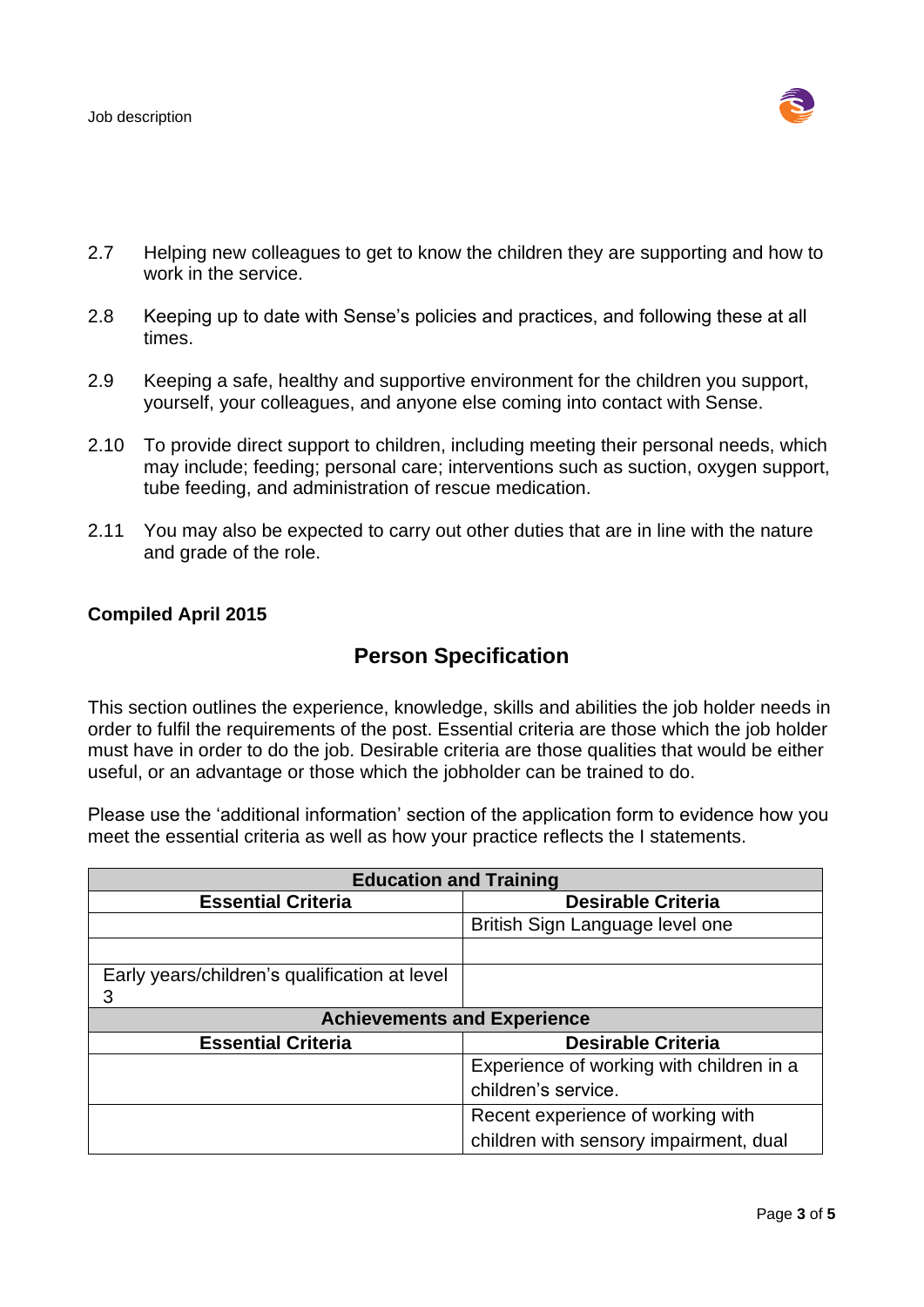

- 2.7 Helping new colleagues to get to know the children they are supporting and how to work in the service.
- 2.8 Keeping up to date with Sense's policies and practices, and following these at all times.
- 2.9 Keeping a safe, healthy and supportive environment for the children you support, yourself, your colleagues, and anyone else coming into contact with Sense.
- 2.10 To provide direct support to children, including meeting their personal needs, which may include; feeding; personal care; interventions such as suction, oxygen support, tube feeding, and administration of rescue medication.
- 2.11 You may also be expected to carry out other duties that are in line with the nature and grade of the role.

# **Compiled April 2015**

# **Person Specification**

This section outlines the experience, knowledge, skills and abilities the job holder needs in order to fulfil the requirements of the post. Essential criteria are those which the job holder must have in order to do the job. Desirable criteria are those qualities that would be either useful, or an advantage or those which the jobholder can be trained to do.

Please use the 'additional information' section of the application form to evidence how you meet the essential criteria as well as how your practice reflects the I statements.

| <b>Education and Training</b>                 |                                          |
|-----------------------------------------------|------------------------------------------|
| <b>Essential Criteria</b>                     | <b>Desirable Criteria</b>                |
|                                               | British Sign Language level one          |
|                                               |                                          |
| Early years/children's qualification at level |                                          |
| 3                                             |                                          |
| <b>Achievements and Experience</b>            |                                          |
| <b>Essential Criteria</b>                     | <b>Desirable Criteria</b>                |
|                                               | Experience of working with children in a |
|                                               | children's service.                      |
|                                               | Recent experience of working with        |
|                                               | children with sensory impairment, dual   |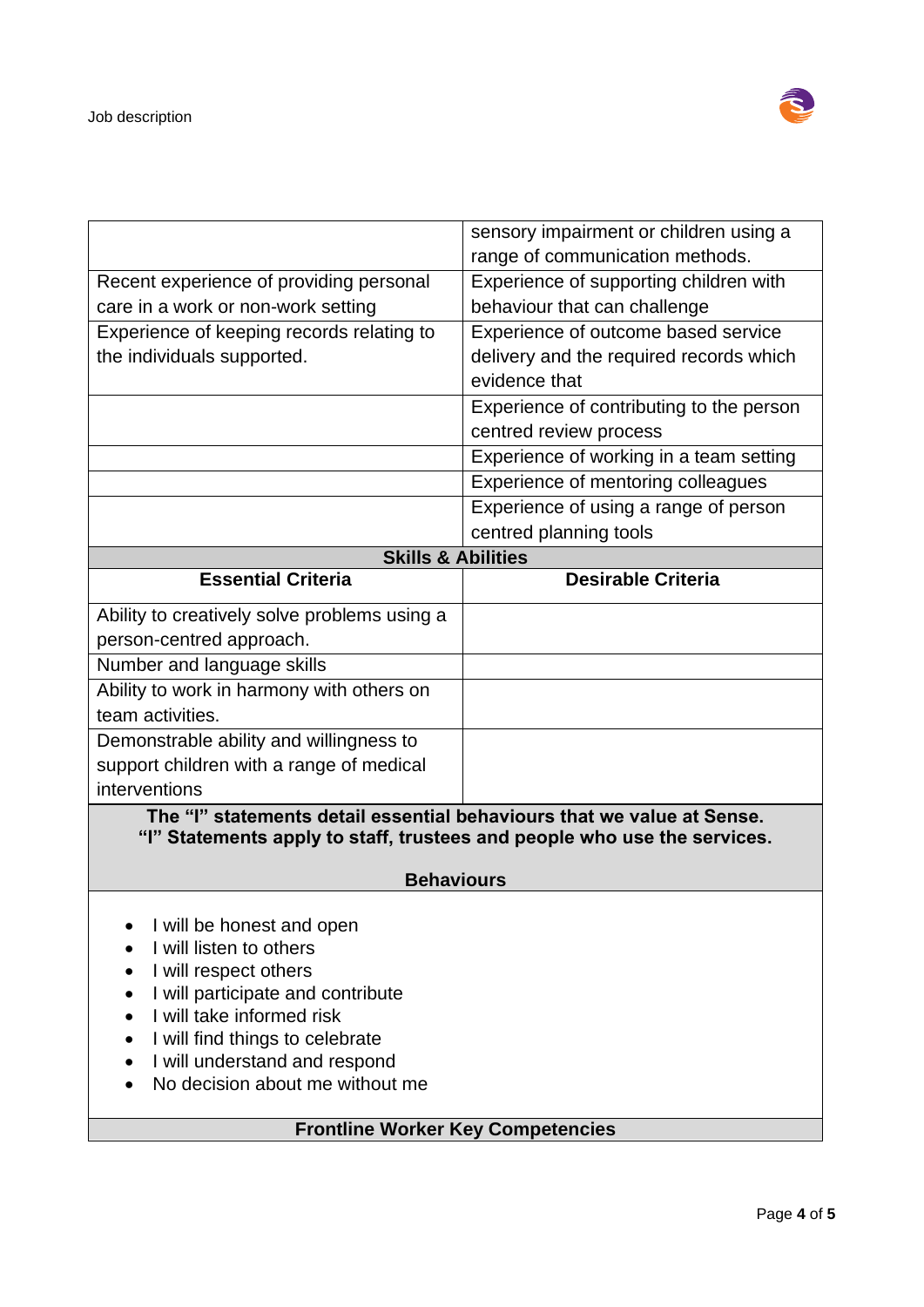

|                                                                          | sensory impairment or children using a   |
|--------------------------------------------------------------------------|------------------------------------------|
|                                                                          | range of communication methods.          |
| Recent experience of providing personal                                  | Experience of supporting children with   |
| care in a work or non-work setting                                       | behaviour that can challenge             |
| Experience of keeping records relating to                                | Experience of outcome based service      |
| the individuals supported.                                               | delivery and the required records which  |
|                                                                          | evidence that                            |
|                                                                          | Experience of contributing to the person |
|                                                                          | centred review process                   |
|                                                                          | Experience of working in a team setting  |
|                                                                          | Experience of mentoring colleagues       |
|                                                                          | Experience of using a range of person    |
|                                                                          | centred planning tools                   |
| <b>Skills &amp; Abilities</b>                                            |                                          |
| <b>Essential Criteria</b>                                                | <b>Desirable Criteria</b>                |
| Ability to creatively solve problems using a                             |                                          |
| person-centred approach.                                                 |                                          |
| Number and language skills                                               |                                          |
| Ability to work in harmony with others on                                |                                          |
| team activities.                                                         |                                          |
| Demonstrable ability and willingness to                                  |                                          |
| support children with a range of medical                                 |                                          |
| interventions                                                            |                                          |
| The "I" statements detail essential behaviours that we value at Sense.   |                                          |
| "I" Statements apply to staff, trustees and people who use the services. |                                          |
|                                                                          |                                          |
| <b>Behaviours</b>                                                        |                                          |
| I will be honest and open                                                |                                          |
| I will listen to others                                                  |                                          |
| I will respect others                                                    |                                          |
| I will participate and contribute                                        |                                          |
| I will take informed risk                                                |                                          |
| I will find things to celebrate                                          |                                          |
| I will understand and respond                                            |                                          |
| No decision about me without me                                          |                                          |
|                                                                          |                                          |

# **Frontline Worker Key Competencies**